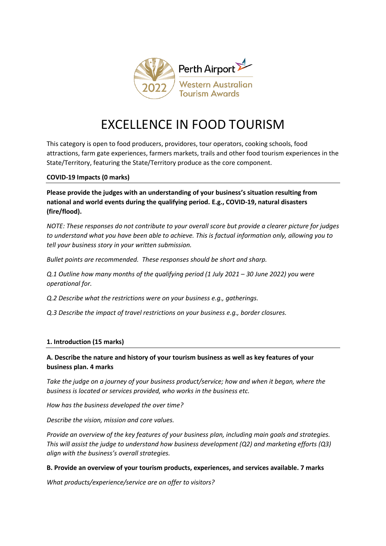

# EXCELLENCE IN FOOD TOURISM

This category is open to food producers, providores, tour operators, cooking schools, food attractions, farm gate experiences, farmers markets, trails and other food tourism experiences in the State/Territory, featuring the State/Territory produce as the core component.

## **COVID-19 Impacts (0 marks)**

**Please provide the judges with an understanding of your business's situation resulting from national and world events during the qualifying period. E.g., COVID-19, natural disasters (fire/flood).**

*NOTE: These responses do not contribute to your overall score but provide a clearer picture for judges to understand what you have been able to achieve. This is factual information only, allowing you to tell your business story in your written submission.* 

*Bullet points are recommended. These responses should be short and sharp.*

*Q.1 Outline how many months of the qualifying period (1 July 2021 – 30 June 2022) you were operational for.*

*Q.2 Describe what the restrictions were on your business e.g., gatherings.*

*Q.3 Describe the impact of travel restrictions on your business e.g., border closures.*

## **1. Introduction (15 marks)**

## **A. Describe the nature and history of your tourism business as well as key features of your business plan. 4 marks**

*Take the judge on a journey of your business product/service; how and when it began, where the business is located or services provided, who works in the business etc.*

*How has the business developed the over time?*

*Describe the vision, mission and core values.* 

*Provide an overview of the key features of your business plan, including main goals and strategies. This will assist the judge to understand how business development (Q2) and marketing efforts (Q3) align with the business's overall strategies.* 

#### **B. Provide an overview of your tourism products, experiences, and services available. 7 marks**

*What products/experience/service are on offer to visitors?*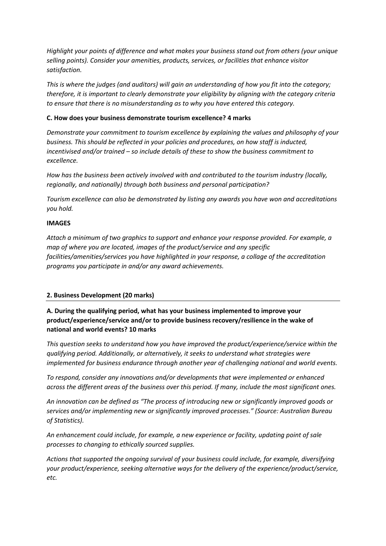*Highlight your points of difference and what makes your business stand out from others (your unique selling points). Consider your amenities, products, services, or facilities that enhance visitor satisfaction.*

*This is where the judges (and auditors) will gain an understanding of how you fit into the category; therefore, it is important to clearly demonstrate your eligibility by aligning with the category criteria to ensure that there is no misunderstanding as to why you have entered this category.*

## **C. How does your business demonstrate tourism excellence? 4 marks**

*Demonstrate your commitment to tourism excellence by explaining the values and philosophy of your business. This should be reflected in your policies and procedures, on how staff is inducted, incentivised and/or trained – so include details of these to show the business commitment to excellence.*

*How has the business been actively involved with and contributed to the tourism industry (locally, regionally, and nationally) through both business and personal participation?*

*Tourism excellence can also be demonstrated by listing any awards you have won and accreditations you hold.* 

## **IMAGES**

*Attach a minimum of two graphics to support and enhance your response provided. For example, a map of where you are located, images of the product/service and any specific facilities/amenities/services you have highlighted in your response, a collage of the accreditation programs you participate in and/or any award achievements.* 

#### **2. Business Development (20 marks)**

# **A. During the qualifying period, what has your business implemented to improve your product/experience/service and/or to provide business recovery/resilience in the wake of national and world events? 10 marks**

*This question seeks to understand how you have improved the product/experience/service within the qualifying period. Additionally, or alternatively, it seeks to understand what strategies were implemented for business endurance through another year of challenging national and world events.* 

*To respond, consider any innovations and/or developments that were implemented or enhanced across the different areas of the business over this period. If many, include the most significant ones.*

*An innovation can be defined as "The process of introducing new or significantly improved goods or services and/or implementing new or significantly improved processes." (Source: Australian Bureau of Statistics).*

*An enhancement could include, for example, a new experience or facility, updating point of sale processes to changing to ethically sourced supplies.* 

*Actions that supported the ongoing survival of your business could include, for example, diversifying your product/experience, seeking alternative ways for the delivery of the experience/product/service, etc.*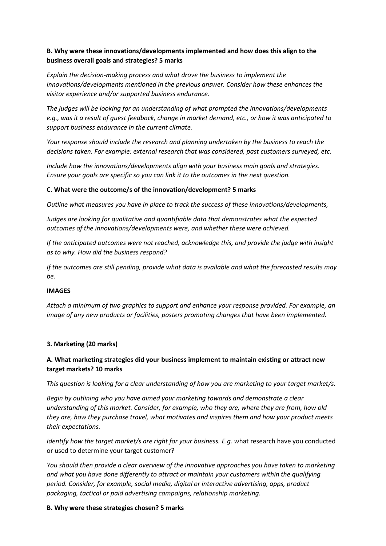# **B. Why were these innovations/developments implemented and how does this align to the business overall goals and strategies? 5 marks**

*Explain the decision-making process and what drove the business to implement the innovations/developments mentioned in the previous answer. Consider how these enhances the visitor experience and/or supported business endurance.* 

*The judges will be looking for an understanding of what prompted the innovations/developments e.g., was it a result of guest feedback, change in market demand, etc., or how it was anticipated to support business endurance in the current climate.*

*Your response should include the research and planning undertaken by the business to reach the decisions taken. For example: external research that was considered, past customers surveyed, etc.* 

*Include how the innovations/developments align with your business main goals and strategies. Ensure your goals are specific so you can link it to the outcomes in the next question.*

## **C. What were the outcome/s of the innovation/development? 5 marks**

*Outline what measures you have in place to track the success of these innovations/developments,*

*Judges are looking for qualitative and quantifiable data that demonstrates what the expected outcomes of the innovations/developments were, and whether these were achieved.*

*If the anticipated outcomes were not reached, acknowledge this, and provide the judge with insight as to why. How did the business respond?*

*If the outcomes are still pending, provide what data is available and what the forecasted results may be.*

#### **IMAGES**

*Attach a minimum of two graphics to support and enhance your response provided. For example, an image of any new products or facilities, posters promoting changes that have been implemented.* 

#### **3. Marketing (20 marks)**

# **A. What marketing strategies did your business implement to maintain existing or attract new target markets? 10 marks**

*This question is looking for a clear understanding of how you are marketing to your target market/s.*

*Begin by outlining who you have aimed your marketing towards and demonstrate a clear understanding of this market. Consider, for example, who they are, where they are from, how old they are, how they purchase travel, what motivates and inspires them and how your product meets their expectations.* 

*Identify how the target market/s are right for your business. E.g. w*hat research have you conducted or used to determine your target customer?

*You should then provide a clear overview of the innovative approaches you have taken to marketing and what you have done differently to attract or maintain your customers within the qualifying period. Consider, for example, social media, digital or interactive advertising, apps, product packaging, tactical or paid advertising campaigns, relationship marketing.*

#### **B. Why were these strategies chosen? 5 marks**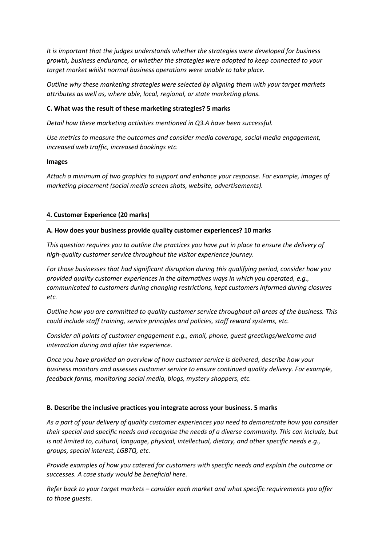*It is important that the judges understands whether the strategies were developed for business growth, business endurance, or whether the strategies were adopted to keep connected to your target market whilst normal business operations were unable to take place.* 

*Outline why these marketing strategies were selected by aligning them with your target markets attributes as well as, where able, local, regional, or state marketing plans.* 

#### **C. What was the result of these marketing strategies? 5 marks**

*Detail how these marketing activities mentioned in Q3.A have been successful.* 

*Use metrics to measure the outcomes and consider media coverage, social media engagement, increased web traffic, increased bookings etc.* 

#### **Images**

*Attach a minimum of two graphics to support and enhance your response. For example, images of marketing placement (social media screen shots, website, advertisements).*

## **4. Customer Experience (20 marks)**

## **A. How does your business provide quality customer experiences? 10 marks**

*This question requires you to outline the practices you have put in place to ensure the delivery of high-quality customer service throughout the visitor experience journey.* 

*For those businesses that had significant disruption during this qualifying period, consider how you provided quality customer experiences in the alternatives ways in which you operated, e.g., communicated to customers during changing restrictions, kept customers informed during closures etc.*

*Outline how you are committed to quality customer service throughout all areas of the business. This could include staff training, service principles and policies, staff reward systems, etc.* 

*Consider all points of customer engagement e.g., email, phone, guest greetings/welcome and interaction during and after the experience.*

*Once you have provided an overview of how customer service is delivered, describe how your business monitors and assesses customer service to ensure continued quality delivery. For example, feedback forms, monitoring social media, blogs, mystery shoppers, etc.* 

## **B. Describe the inclusive practices you integrate across your business. 5 marks**

*As a part of your delivery of quality customer experiences you need to demonstrate how you consider their special and specific needs and recognise the needs of a diverse community. This can include, but is not limited to, cultural, language, physical, intellectual, dietary, and other specific needs e.g., groups, special interest, LGBTQ, etc.*

*Provide examples of how you catered for customers with specific needs and explain the outcome or successes. A case study would be beneficial here.* 

*Refer back to your target markets – consider each market and what specific requirements you offer to those guests.*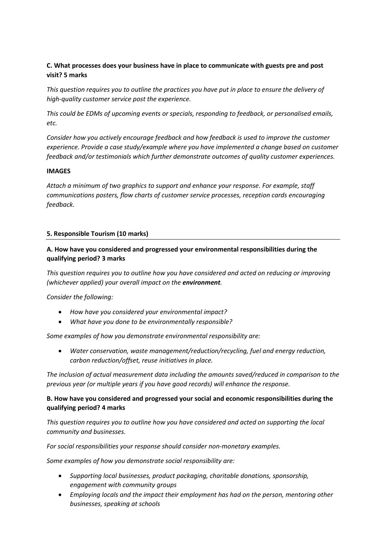# **C. What processes does your business have in place to communicate with guests pre and post visit? 5 marks**

*This question requires you to outline the practices you have put in place to ensure the delivery of high-quality customer service post the experience.* 

*This could be EDMs of upcoming events or specials, responding to feedback, or personalised emails, etc.*

*Consider how you actively encourage feedback and how feedback is used to improve the customer experience. Provide a case study/example where you have implemented a change based on customer feedback and/or testimonials which further demonstrate outcomes of quality customer experiences.* 

## **IMAGES**

*Attach a minimum of two graphics to support and enhance your response. For example, staff communications posters, flow charts of customer service processes, reception cards encouraging feedback.* 

## **5. Responsible Tourism (10 marks)**

# **A. How have you considered and progressed your environmental responsibilities during the qualifying period? 3 marks**

*This question requires you to outline how you have considered and acted on reducing or improving (whichever applied) your overall impact on the environment.* 

*Consider the following:*

- *How have you considered your environmental impact?*
- *What have you done to be environmentally responsible?*

*Some examples of how you demonstrate environmental responsibility are:*

• *Water conservation, waste management/reduction/recycling, fuel and energy reduction, carbon reduction/offset, reuse initiatives in place.*

*The inclusion of actual measurement data including the amounts saved/reduced in comparison to the previous year (or multiple years if you have good records) will enhance the response.*

## **B. How have you considered and progressed your social and economic responsibilities during the qualifying period? 4 marks**

*This question requires you to outline how you have considered and acted on supporting the local community and businesses.* 

*For social responsibilities your response should consider non-monetary examples.*

*Some examples of how you demonstrate social responsibility are:*

- *Supporting local businesses, product packaging, charitable donations, sponsorship, engagement with community groups*
- *Employing locals and the impact their employment has had on the person, mentoring other businesses, speaking at schools*